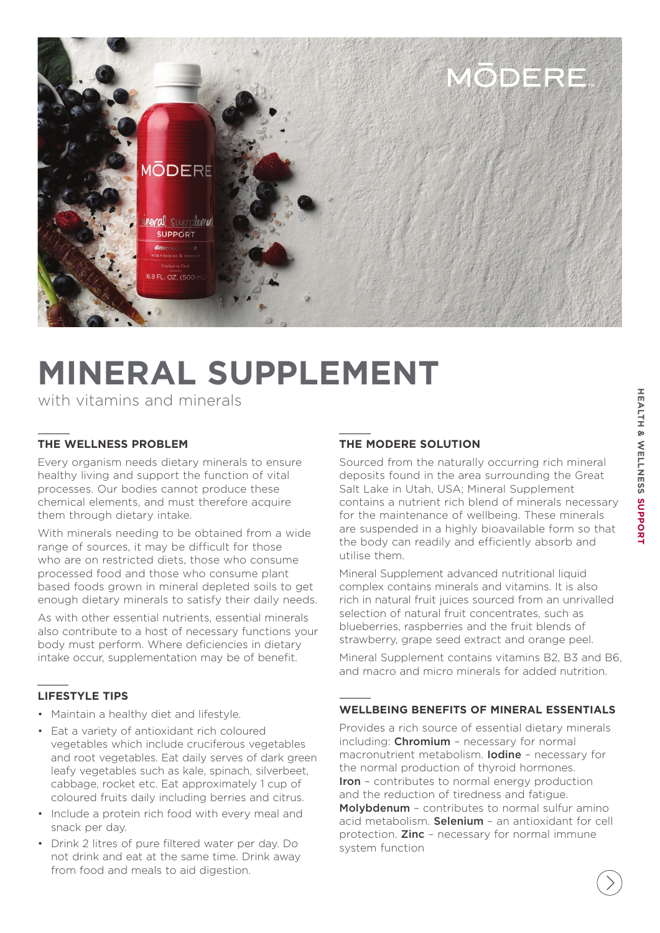

# **MINERAL SUPPLEMENT**

with vitamins and minerals

# **THE WELLNESS PROBLEM**

Every organism needs dietary minerals to ensure healthy living and support the function of vital processes. Our bodies cannot produce these chemical elements, and must therefore acquire them through dietary intake.

With minerals needing to be obtained from a wide range of sources, it may be difficult for those who are on restricted diets, those who consume processed food and those who consume plant based foods grown in mineral depleted soils to get enough dietary minerals to satisfy their daily needs.

As with other essential nutrients, essential minerals also contribute to a host of necessary functions your body must perform. Where deficiencies in dietary intake occur, supplementation may be of benefit.

# **LIFESTYLE TIPS**

- Maintain a healthy diet and lifestyle.
- Eat a variety of antioxidant rich coloured vegetables which include cruciferous vegetables and root vegetables. Eat daily serves of dark green leafy vegetables such as kale, spinach, silverbeet, cabbage, rocket etc. Eat approximately 1 cup of coloured fruits daily including berries and citrus.
- Include a protein rich food with every meal and snack per day.
- Drink 2 litres of pure filtered water per day. Do not drink and eat at the same time. Drink away from food and meals to aid digestion.

# **THE MODERE SOLUTION**

Sourced from the naturally occurring rich mineral deposits found in the area surrounding the Great Salt Lake in Utah, USA; Mineral Supplement contains a nutrient rich blend of minerals necessary for the maintenance of wellbeing. These minerals are suspended in a highly bioavailable form so that the body can readily and efficiently absorb and utilise them.

Mineral Supplement advanced nutritional liquid complex contains minerals and vitamins. It is also rich in natural fruit juices sourced from an unrivalled selection of natural fruit concentrates, such as blueberries, raspberries and the fruit blends of strawberry, grape seed extract and orange peel.

Mineral Supplement contains vitamins B2, B3 and B6, and macro and micro minerals for added nutrition.

## **WELLBEING BENEFITS OF MINERAL ESSENTIALS**

Provides a rich source of essential dietary minerals including: Chromium - necessary for normal macronutrient metabolism. Iodine – necessary for the normal production of thyroid hormones. Iron - contributes to normal energy production and the reduction of tiredness and fatigue. Molybdenum – contributes to normal sulfur amino acid metabolism. Selenium – an antioxidant for cell protection. **Zinc** - necessary for normal immune system function